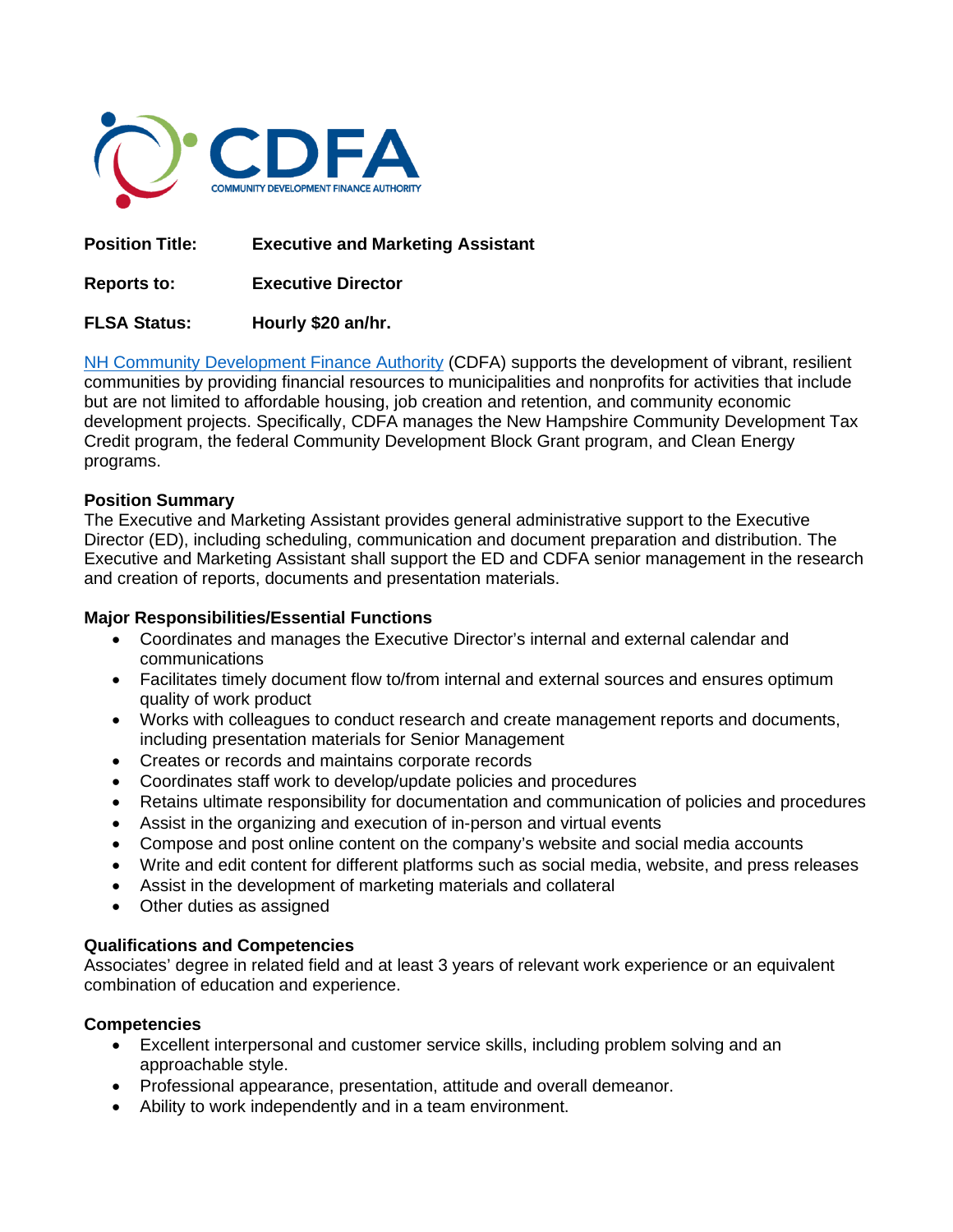

**Position Title: Executive and Marketing Assistant**

**Reports to: Executive Director**

# **FLSA Status: Hourly \$20 an/hr.**

[NH Community Development Finance Authority](http://www.nhcdfa.org/) (CDFA) supports the development of vibrant, resilient communities by providing financial resources to municipalities and nonprofits for activities that include but are not limited to affordable housing, job creation and retention, and community economic development projects. Specifically, CDFA manages the New Hampshire Community Development Tax Credit program, the federal Community Development Block Grant program, and Clean Energy programs.

# **Position Summary**

The Executive and Marketing Assistant provides general administrative support to the Executive Director (ED), including scheduling, communication and document preparation and distribution. The Executive and Marketing Assistant shall support the ED and CDFA senior management in the research and creation of reports, documents and presentation materials.

#### **Major Responsibilities/Essential Functions**

- Coordinates and manages the Executive Director's internal and external calendar and communications
- Facilitates timely document flow to/from internal and external sources and ensures optimum quality of work product
- Works with colleagues to conduct research and create management reports and documents, including presentation materials for Senior Management
- Creates or records and maintains corporate records
- Coordinates staff work to develop/update policies and procedures
- Retains ultimate responsibility for documentation and communication of policies and procedures
- Assist in the organizing and execution of in-person and virtual events
- Compose and post online content on the company's website and social media accounts
- Write and edit content for different platforms such as social media, website, and press releases
- Assist in the development of marketing materials and collateral
- Other duties as assigned

# **Qualifications and Competencies**

Associates' degree in related field and at least 3 years of relevant work experience or an equivalent combination of education and experience.

# **Competencies**

- Excellent interpersonal and customer service skills, including problem solving and an approachable style.
- Professional appearance, presentation, attitude and overall demeanor.
- Ability to work independently and in a team environment.